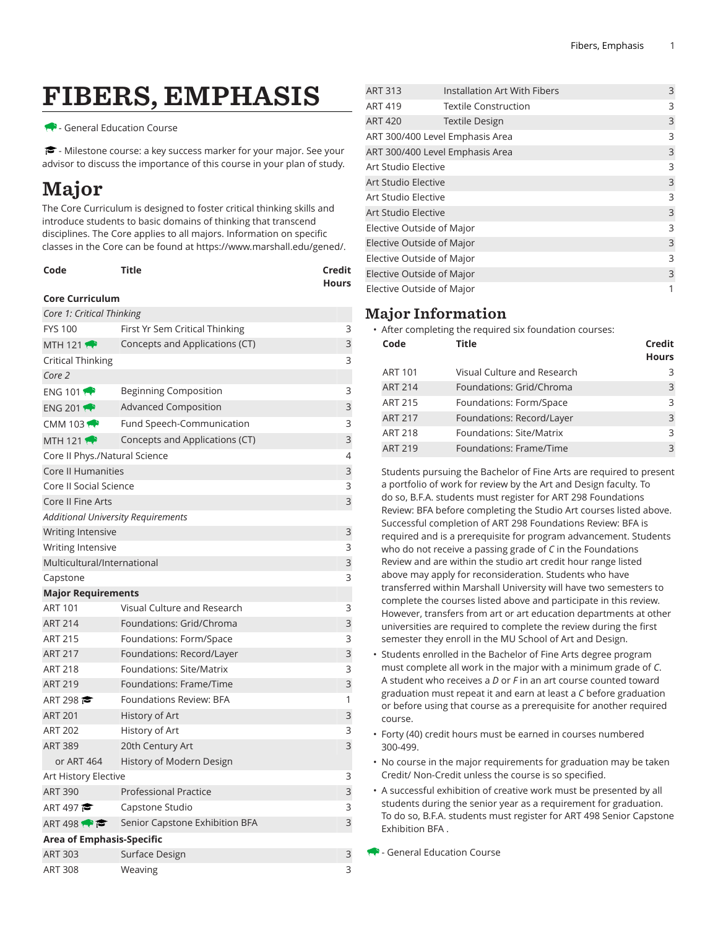# FIBERS, EMPHASIS

#### - General Education Course

<del>■</del> - Milestone course: a key success marker for your major. See your advisor to discuss the importance of this course in your plan of study.

## Major

The Core Curriculum is designed to foster critical thinking skills and introduce students to basic domains of thinking that transcend disciplines. The Core applies to all majors. Information on specific classes in the Core can be found at [https://www.marshall.edu/gened/.](https://www.marshall.edu/gened/)

| Code | Title | Credit |
|------|-------|--------|
|      |       | Hours  |

#### **Core Curriculum**

| Core 1: Critical Thinking          |                                |   |
|------------------------------------|--------------------------------|---|
| <b>FYS 100</b>                     | First Yr Sem Critical Thinking | 3 |
| MTH 121 $\rightarrow$              | Concepts and Applications (CT) | 3 |
| Critical Thinking                  |                                | 3 |
| Core 2                             |                                |   |
| ENG 101 $\bullet$                  | <b>Beginning Composition</b>   | 3 |
| ENG 201                            | Advanced Composition           | 3 |
| CMM 103 $\rightarrow$              | Fund Speech-Communication      | 3 |
| MTH 121 $\leftrightarrow$          | Concepts and Applications (CT) | 3 |
| Core II Phys./Natural Science      |                                | 4 |
| Core II Humanities                 |                                | 3 |
| Core II Social Science             |                                | 3 |
| Core II Fine Arts                  |                                | 3 |
| Additional University Requirements |                                |   |
| <b>Writing Intensive</b>           |                                | 3 |
| <b>Writing Intensive</b>           |                                | 3 |
| Multicultural/International        |                                | 3 |
| Capstone                           |                                | 3 |
| <b>Major Requirements</b>          |                                |   |
| <b>ART 101</b>                     | Visual Culture and Research    | 3 |
| <b>ART 214</b>                     | Foundations: Grid/Chroma       | 3 |
| <b>ART 215</b>                     | Foundations: Form/Space        | 3 |
| <b>ART 217</b>                     | Foundations: Record/Layer      | 3 |
| <b>ART 218</b>                     | Foundations: Site/Matrix       | 3 |
| <b>ART 219</b>                     | Foundations: Frame/Time        | 3 |
| ART 298                            | Foundations Review: BFA        | 1 |
| <b>ART 201</b>                     | History of Art                 | 3 |
| <b>ART 202</b>                     | History of Art                 | 3 |
| <b>ART 389</b>                     | 20th Century Art               | 3 |
| or ART 464                         | History of Modern Design       |   |
| Art History Elective               |                                | 3 |
| <b>ART 390</b>                     | <b>Professional Practice</b>   | 3 |
| ART 497                            | Capstone Studio                | 3 |
| ART 498 $\rightarrow$              | Senior Capstone Exhibition BFA | 3 |
| Area of Emphasis-Specific          |                                |   |
| <b>ART 303</b>                     | Surface Design                 | 3 |
| <b>ART 308</b>                     | Weaving                        | 3 |

| <b>ART 313</b>            | <b>Installation Art With Fibers</b> | 3 |
|---------------------------|-------------------------------------|---|
| <b>ART 419</b>            | <b>Textile Construction</b>         | 3 |
| <b>ART 420</b>            | <b>Textile Design</b>               | 3 |
|                           | ART 300/400 Level Emphasis Area     | 3 |
|                           | ART 300/400 Level Emphasis Area     | 3 |
| Art Studio Elective       |                                     | 3 |
| Art Studio Elective       |                                     | 3 |
| Art Studio Elective       |                                     | 3 |
| Art Studio Elective       |                                     | 3 |
| Elective Outside of Major |                                     | 3 |
| Elective Outside of Major |                                     | 3 |
| Elective Outside of Major |                                     | 3 |
| Elective Outside of Major |                                     | 3 |
| Elective Outside of Major |                                     | 1 |

### Major Information

• After completing the required six foundation courses:

| Code           | <b>Title</b>                | Credit<br><b>Hours</b> |
|----------------|-----------------------------|------------------------|
| <b>ART 101</b> | Visual Culture and Research | 3                      |
| <b>ART 214</b> | Foundations: Grid/Chroma    | 3                      |
| <b>ART 215</b> | Foundations: Form/Space     | 3                      |
| <b>ART 217</b> | Foundations: Record/Layer   | $\mathcal{E}$          |
| <b>ART 218</b> | Foundations: Site/Matrix    | 3                      |
| <b>ART 219</b> | Foundations: Frame/Time     | $\mathcal{L}$          |

Students pursuing the Bachelor of Fine Arts are required to present a portfolio of work for review by the Art and Design faculty. To do so, B.F.A. students must register for ART 298 Foundations Review: BFA before completing the Studio Art courses listed above. Successful completion of ART 298 Foundations Review: BFA is required and is a prerequisite for program advancement. Students who do not receive a passing grade of *C* in the Foundations Review and are within the studio art credit hour range listed above may apply for reconsideration. Students who have transferred within Marshall University will have two semesters to complete the courses listed above and participate in this review. However, transfers from art or art education departments at other universities are required to complete the review during the first semester they enroll in the MU School of Art and Design.

- Students enrolled in the Bachelor of Fine Arts degree program must complete all work in the major with a minimum grade of *C*. A student who receives a *D* or *F* in an art course counted toward graduation must repeat it and earn at least a *C* before graduation or before using that course as a prerequisite for another required course.
- Forty (40) credit hours must be earned in courses numbered 300-499.
- No course in the major requirements for graduation may be taken Credit/ Non-Credit unless the course is so specified.
- A successful exhibition of creative work must be presented by all students during the senior year as a requirement for graduation. To do so, B.F.A. students must register for ART 498 Senior Capstone Exhibition BFA .

**B** - General Education Course